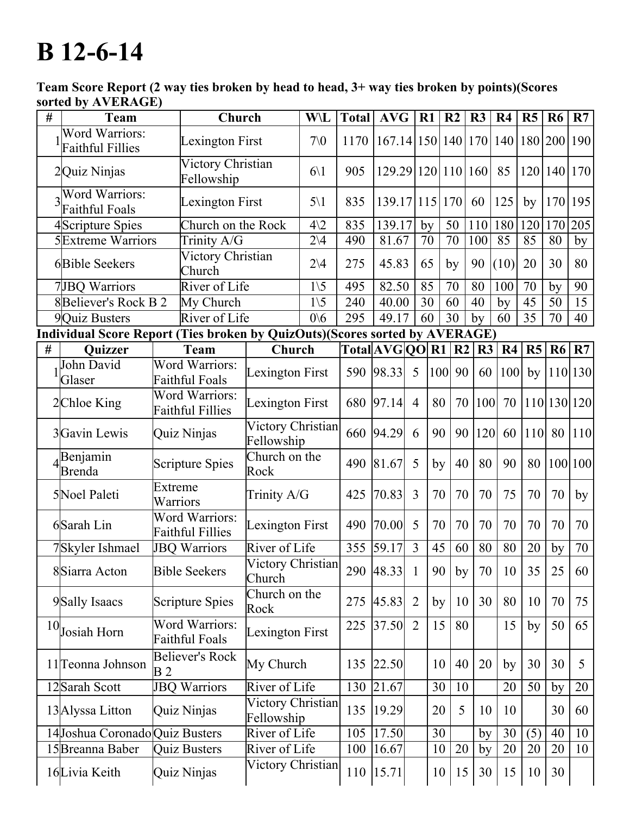## **B** 12-6-14

Team Score Report (2 way ties broken by head to head, 3+ way ties broken by points)(Scores sorted by AVERAGE)

| $\#$ | <b>Team</b>                                                                 |                                                  | Church                          |                                 | <b>W\L</b>                 | <b>Total</b> | <b>AVG</b>                     |                | R1         | R <sub>2</sub> | R3  | R <sub>4</sub> | R5             | R <sub>6</sub> | R7               |
|------|-----------------------------------------------------------------------------|--------------------------------------------------|---------------------------------|---------------------------------|----------------------------|--------------|--------------------------------|----------------|------------|----------------|-----|----------------|----------------|----------------|------------------|
|      | Word Warriors:<br><b>Faithful Fillies</b>                                   |                                                  |                                 | <b>Lexington First</b>          |                            | 1170         | 167.14 150 140 170 140 180 200 |                |            |                |     |                |                |                | 190              |
|      | 2Quiz Ninjas                                                                |                                                  | Victory Christian<br>Fellowship |                                 | $6\backslash1$             | 905          | 129.29 120 10 160              |                |            |                |     | 85             | 120 140        |                | 170              |
|      | <b>Word Warriors:</b><br><b>Faithful Foals</b>                              |                                                  | Lexington First                 |                                 | $5\backslash1$             | 835          | 139.17 115 170                 |                |            |                | 60  | 125            | by             | 170            | 195              |
|      | Scripture Spies                                                             |                                                  | Church on the Rock              |                                 | $4\sqrt{2}$                | 835          | 139.17                         |                | by         | 50             | 110 | 180            | 120            | 170            | $\overline{205}$ |
|      | <b>5</b> Extreme Warriors                                                   |                                                  | Trinity A/G                     |                                 | $2\vee 4$                  | 490          | 81.67                          |                | 70         | 70             | 100 | 85             | 85             | 80             | by               |
|      | 6Bible Seekers                                                              |                                                  | Victory Christian<br>Church     |                                 | $2\vee 4$                  | 275          | 45.83                          |                | 65         | by             | 90  | (10)           | 20             | 30             | 80               |
|      | 7JBQ Warriors                                                               |                                                  | River of Life                   |                                 | $\overline{1}\backslash 5$ | 495          | 82.50                          |                | 85         | 70             | 80  | 100            | 70             | by             | 90               |
|      | 8Believer's Rock B 2                                                        |                                                  | My Church                       |                                 | $1\backslash 5$            | 240          | 40.00                          |                | 30         | 60             | 40  | by             | 45             | 50             | 15               |
|      | 9Quiz Busters                                                               |                                                  | River of Life                   |                                 | 0/6                        | 295          | 49.17                          |                | 60         | 30             | by  | 60             | 35             | 70             | 40               |
|      | Individual Score Report (Ties broken by QuizOuts)(Scores sorted by AVERAGE) |                                                  |                                 |                                 |                            |              |                                |                |            |                |     |                |                |                |                  |
| #    | Quizzer                                                                     |                                                  | <b>Team</b>                     | Church                          |                            |              | Total[AVG]QO R1 R2             |                |            |                | R3  | R4             | R <sub>5</sub> |                | R6   R7          |
|      | John David<br>Glaser                                                        | Word Warriors:<br><b>Faithful Foals</b>          |                                 | Lexington First                 |                            | 590          | 98.33                          | 5              | <b>100</b> | 90             | 60  | 100            | by             |                | 110 130          |
|      | 2Chloe King                                                                 | Word Warriors:<br><b>Faithful Fillies</b>        |                                 | Lexington First                 |                            | 680          | 97.14                          | $\overline{4}$ | 80         | 70             | 100 | 70             |                | 110 130 120    |                  |
|      | 3Gavin Lewis                                                                | Quiz Ninjas                                      |                                 | Victory Christian<br>Fellowship |                            | 660          | 94.29                          | 6              | 90         | 90             | 120 | 60             | $ 110 $        |                | 80   110         |
|      | Benjamin<br>Brenda                                                          | <b>Scripture Spies</b>                           |                                 | Church on the<br>Rock           |                            | 490          | 81.67                          | 5              | by         | 40             | 80  | 90             | 80             |                | 100 100          |
|      | 5Noel Paleti                                                                | Extreme<br>Warriors                              |                                 | Trinity A/G                     |                            | 425          | 70.83                          | $\overline{3}$ | 70         | 70             | 70  | 75             | 70             | 70             | by               |
|      | 6Sarah Lin                                                                  | <b>Word Warriors:</b><br><b>Faithful Fillies</b> |                                 | <b>Lexington First</b>          |                            | 490          | 70.00                          | 5              | 70         | 70             | 70  | 70             | 70             | 70             | 70               |
|      | 7Skyler Ishmael                                                             | <b>JBQ Warriors</b>                              |                                 | River of Life                   |                            | 355          | 59.17                          | $\overline{3}$ | 45         | 60             | 80  | 80             | 20             | by             | 70               |
|      | 8Siarra Acton                                                               | <b>Bible Seekers</b>                             |                                 | Victory Christian<br>Church     |                            |              | 290 48.33                      | $\overline{1}$ | 90         | by             | 70  | 10             | 35             | 25             | 60               |
|      | 9Sally Isaacs                                                               | <b>Scripture Spies</b>                           |                                 | Church on the<br>Rock           |                            | 275          | 45.83                          | 2              | by         | 10             | 30  | 80             | 10             | 70             | 75               |
|      | $10$ Josiah Horn                                                            | <b>Word Warriors:</b><br><b>Faithful Foals</b>   |                                 | Lexington First                 |                            | 225          | 37.50                          | $\overline{2}$ | 15         | 80             |     | 15             | by             | 50             | 65               |
|      | 11 <sup>T</sup> eonna Johnson                                               | <b>Believer's Rock</b><br>B <sub>2</sub>         |                                 | My Church                       |                            | 135          | 22.50                          |                | 10         | 40             | 20  | by             | 30             | 30             | 5 <sup>5</sup>   |
|      | 12Sarah Scott                                                               | <b>JBQ Warriors</b>                              |                                 | River of Life                   |                            | 130          | $\overline{2}1.67$             |                | 30         | 10             |     | 20             | 50             | by             | 20               |
|      | 13 Alyssa Litton                                                            | Quiz Ninjas                                      |                                 | Victory Christian<br>Fellowship |                            | 135          | 19.29                          |                | 20         | 5              | 10  | 10             |                | 30             | 60               |
|      | 14Joshua Coronado Quiz Busters                                              |                                                  |                                 | River of Life                   |                            | 105          | 17.50                          |                | 30         |                | by  | 30             | (5)            | 40             | 10               |
|      | 15 Breanna Baber                                                            | <b>Quiz Busters</b>                              |                                 | River of Life                   |                            | 100          | 16.67                          |                | 10         | 20             | by  | 20             | 20             | 20             | 10               |
|      | 16Livia Keith                                                               | Quiz Ninjas                                      |                                 | Victory Christian               |                            | 110          | 15.71                          |                | 10         | 15             | 30  | 15             | 10             | 30             |                  |